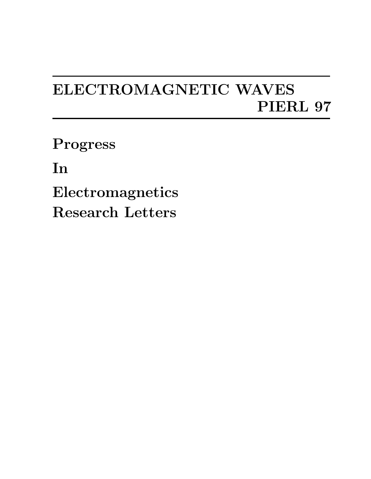## ELECTROMAGNETIC WAVES PIERL 97

Progress

In

Electromagnetics Research Letters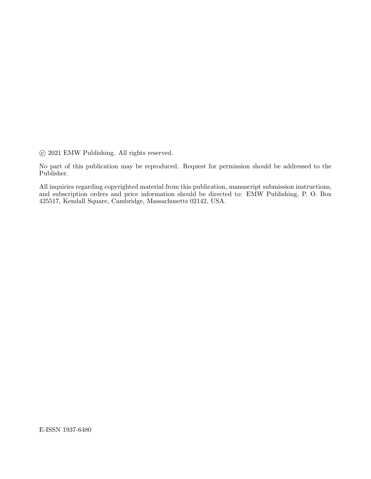°c 2021 EMW Publishing. All rights reserved.

No part of this publication may be reproduced. Request for permission should be addressed to the Publisher.

All inquiries regarding copyrighted material from this publication, manuscript submission instructions, and subscription orders and price information should be directed to: EMW Publishing, P. O. Box 425517, Kendall Square, Cambridge, Massachusetts 02142, USA.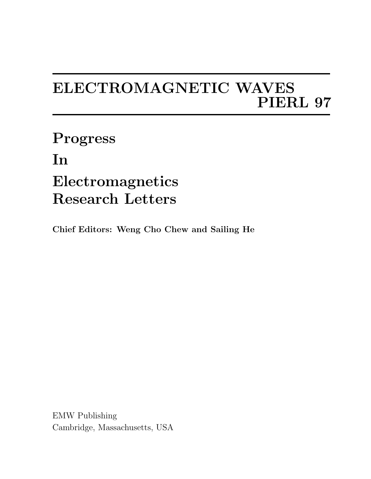## ELECTROMAGNETIC WAVES PIERL 97

Progress In Electromagnetics Research Letters

Chief Editors: Weng Cho Chew and Sailing He

EMW Publishing Cambridge, Massachusetts, USA